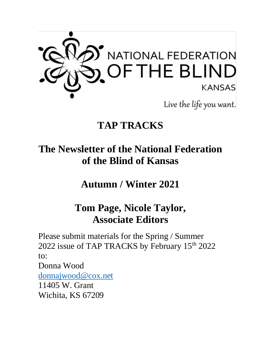

## **TAP TRACKS**

# **The Newsletter of the National Federation of the Blind of Kansas**

**Autumn / Winter 2021**

## **Tom Page, Nicole Taylor, Associate Editors**

Please submit materials for the Spring / Summer 2022 issue of TAP TRACKS by February 15<sup>th</sup> 2022 to:

Donna Wood

[donnajwood@cox.net](mailto:donnajwood@cox.net) 11405 W. Grant

Wichita, KS 67209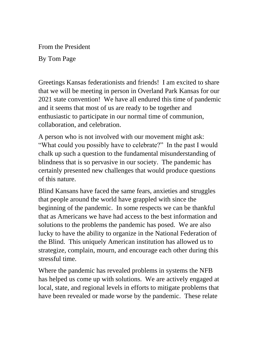From the President

By Tom Page

Greetings Kansas federationists and friends! I am excited to share that we will be meeting in person in Overland Park Kansas for our 2021 state convention! We have all endured this time of pandemic and it seems that most of us are ready to be together and enthusiastic to participate in our normal time of communion, collaboration, and celebration.

A person who is not involved with our movement might ask: "What could you possibly have to celebrate?" In the past I would chalk up such a question to the fundamental misunderstanding of blindness that is so pervasive in our society. The pandemic has certainly presented new challenges that would produce questions of this nature.

Blind Kansans have faced the same fears, anxieties and struggles that people around the world have grappled with since the beginning of the pandemic. In some respects we can be thankful that as Americans we have had access to the best information and solutions to the problems the pandemic has posed. We are also lucky to have the ability to organize in the National Federation of the Blind. This uniquely American institution has allowed us to strategize, complain, mourn, and encourage each other during this stressful time.

Where the pandemic has revealed problems in systems the NFB has helped us come up with solutions. We are actively engaged at local, state, and regional levels in efforts to mitigate problems that have been revealed or made worse by the pandemic. These relate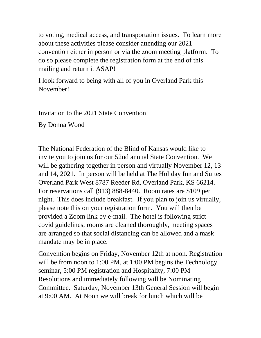to voting, medical access, and transportation issues. To learn more about these activities please consider attending our 2021 convention either in person or via the zoom meeting platform. To do so please complete the registration form at the end of this mailing and return it ASAP!

I look forward to being with all of you in Overland Park this November!

Invitation to the 2021 State Convention

By Donna Wood

The National Federation of the Blind of Kansas would like to invite you to join us for our 52nd annual State Convention. We will be gathering together in person and virtually November 12, 13 and 14, 2021. In person will be held at The Holiday Inn and Suites Overland Park West 8787 Reeder Rd, Overland Park, KS 66214. For reservations call (913) 888-8440. Room rates are \$109 per night. This does include breakfast. If you plan to join us virtually, please note this on your registration form. You will then be provided a Zoom link by e-mail. The hotel is following strict covid guidelines, rooms are cleaned thoroughly, meeting spaces are arranged so that social distancing can be allowed and a mask mandate may be in place.

Convention begins on Friday, November 12th at noon. Registration will be from noon to 1:00 PM, at 1:00 PM begins the Technology seminar, 5:00 PM registration and Hospitality, 7:00 PM Resolutions and immediately following will be Nominating Committee. Saturday, November 13th General Session will begin at 9:00 AM. At Noon we will break for lunch which will be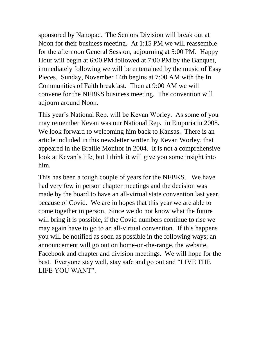sponsored by Nanopac. The Seniors Division will break out at Noon for their business meeting. At 1:15 PM we will reassemble for the afternoon General Session, adjourning at 5:00 PM. Happy Hour will begin at 6:00 PM followed at 7:00 PM by the Banquet, immediately following we will be entertained by the music of Easy Pieces. Sunday, November 14th begins at 7:00 AM with the In Communities of Faith breakfast. Then at 9:00 AM we will convene for the NFBKS business meeting. The convention will adjourn around Noon.

This year's National Rep. will be Kevan Worley. As some of you may remember Kevan was our National Rep. in Emporia in 2008. We look forward to welcoming him back to Kansas. There is an article included in this newsletter written by Kevan Worley, that appeared in the Braille Monitor in 2004. It is not a comprehensive look at Kevan's life, but I think it will give you some insight into him.

This has been a tough couple of years for the NFBKS. We have had very few in person chapter meetings and the decision was made by the board to have an all-virtual state convention last year, because of Covid. We are in hopes that this year we are able to come together in person. Since we do not know what the future will bring it is possible, if the Covid numbers continue to rise we may again have to go to an all-virtual convention. If this happens you will be notified as soon as possible in the following ways; an announcement will go out on home-on-the-range, the website, Facebook and chapter and division meetings. We will hope for the best. Everyone stay well, stay safe and go out and "LIVE THE LIFE YOU WANT".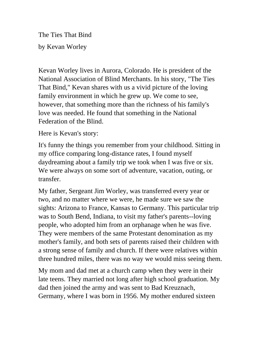The Ties That Bind

by Kevan Worley

Kevan Worley lives in Aurora, Colorado. He is president of the National Association of Blind Merchants. In his story, "The Ties That Bind," Kevan shares with us a vivid picture of the loving family environment in which he grew up. We come to see, however, that something more than the richness of his family's love was needed. He found that something in the National Federation of the Blind.

Here is Kevan's story:

It's funny the things you remember from your childhood. Sitting in my office comparing long-distance rates, I found myself daydreaming about a family trip we took when I was five or six. We were always on some sort of adventure, vacation, outing, or transfer.

My father, Sergeant Jim Worley, was transferred every year or two, and no matter where we were, he made sure we saw the sights: Arizona to France, Kansas to Germany. This particular trip was to South Bend, Indiana, to visit my father's parents--loving people, who adopted him from an orphanage when he was five. They were members of the same Protestant denomination as my mother's family, and both sets of parents raised their children with a strong sense of family and church. If there were relatives within three hundred miles, there was no way we would miss seeing them.

My mom and dad met at a church camp when they were in their late teens. They married not long after high school graduation. My dad then joined the army and was sent to Bad Kreuznach, Germany, where I was born in 1956. My mother endured sixteen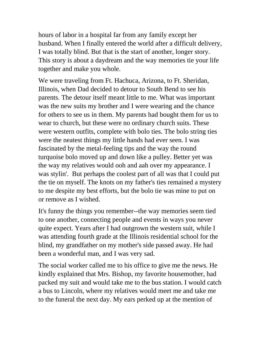hours of labor in a hospital far from any family except her husband. When I finally entered the world after a difficult delivery, I was totally blind. But that is the start of another, longer story. This story is about a daydream and the way memories tie your life together and make you whole.

We were traveling from Ft. Hachuca, Arizona, to Ft. Sheridan, Illinois, when Dad decided to detour to South Bend to see his parents. The detour itself meant little to me. What was important was the new suits my brother and I were wearing and the chance for others to see us in them. My parents had bought them for us to wear to church, but these were no ordinary church suits. These were western outfits, complete with bolo ties. The bolo string ties were the neatest things my little hands had ever seen. I was fascinated by the metal-feeling tips and the way the round turquoise bolo moved up and down like a pulley. Better yet was the way my relatives would ooh and aah over my appearance. I was stylin'. But perhaps the coolest part of all was that I could put the tie on myself. The knots on my father's ties remained a mystery to me despite my best efforts, but the bolo tie was mine to put on or remove as I wished.

It's funny the things you remember--the way memories seem tied to one another, connecting people and events in ways you never quite expect. Years after I had outgrown the western suit, while I was attending fourth grade at the Illinois residential school for the blind, my grandfather on my mother's side passed away. He had been a wonderful man, and I was very sad.

The social worker called me to his office to give me the news. He kindly explained that Mrs. Bishop, my favorite housemother, had packed my suit and would take me to the bus station. I would catch a bus to Lincoln, where my relatives would meet me and take me to the funeral the next day. My ears perked up at the mention of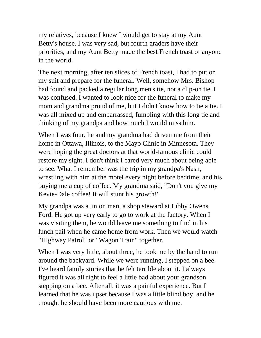my relatives, because I knew I would get to stay at my Aunt Betty's house. I was very sad, but fourth graders have their priorities, and my Aunt Betty made the best French toast of anyone in the world.

The next morning, after ten slices of French toast, I had to put on my suit and prepare for the funeral. Well, somehow Mrs. Bishop had found and packed a regular long men's tie, not a clip-on tie. I was confused. I wanted to look nice for the funeral to make my mom and grandma proud of me, but I didn't know how to tie a tie. I was all mixed up and embarrassed, fumbling with this long tie and thinking of my grandpa and how much I would miss him.

When I was four, he and my grandma had driven me from their home in Ottawa, Illinois, to the Mayo Clinic in Minnesota. They were hoping the great doctors at that world-famous clinic could restore my sight. I don't think I cared very much about being able to see. What I remember was the trip in my grandpa's Nash, wrestling with him at the motel every night before bedtime, and his buying me a cup of coffee. My grandma said, "Don't you give my Kevie-Dale coffee! It will stunt his growth!"

My grandpa was a union man, a shop steward at Libby Owens Ford. He got up very early to go to work at the factory. When I was visiting them, he would leave me something to find in his lunch pail when he came home from work. Then we would watch "Highway Patrol" or "Wagon Train" together.

When I was very little, about three, he took me by the hand to run around the backyard. While we were running, I stepped on a bee. I've heard family stories that he felt terrible about it. I always figured it was all right to feel a little bad about your grandson stepping on a bee. After all, it was a painful experience. But I learned that he was upset because I was a little blind boy, and he thought he should have been more cautious with me.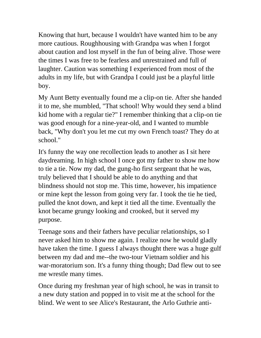Knowing that hurt, because I wouldn't have wanted him to be any more cautious. Roughhousing with Grandpa was when I forgot about caution and lost myself in the fun of being alive. Those were the times I was free to be fearless and unrestrained and full of laughter. Caution was something I experienced from most of the adults in my life, but with Grandpa I could just be a playful little boy.

My Aunt Betty eventually found me a clip-on tie. After she handed it to me, she mumbled, "That school! Why would they send a blind kid home with a regular tie?" I remember thinking that a clip-on tie was good enough for a nine-year-old, and I wanted to mumble back, "Why don't you let me cut my own French toast? They do at school."

It's funny the way one recollection leads to another as I sit here daydreaming. In high school I once got my father to show me how to tie a tie. Now my dad, the gung-ho first sergeant that he was, truly believed that I should be able to do anything and that blindness should not stop me. This time, however, his impatience or mine kept the lesson from going very far. I took the tie he tied, pulled the knot down, and kept it tied all the time. Eventually the knot became grungy looking and crooked, but it served my purpose.

Teenage sons and their fathers have peculiar relationships, so I never asked him to show me again. I realize now he would gladly have taken the time. I guess I always thought there was a huge gulf between my dad and me--the two-tour Vietnam soldier and his war-moratorium son. It's a funny thing though; Dad flew out to see me wrestle many times.

Once during my freshman year of high school, he was in transit to a new duty station and popped in to visit me at the school for the blind. We went to see Alice's Restaurant, the Arlo Guthrie anti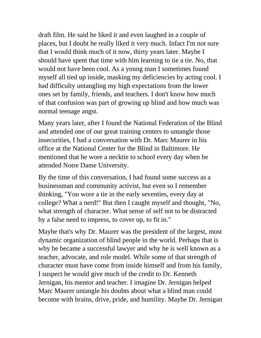draft film. He said he liked it and even laughed in a couple of places, but I doubt he really liked it very much. Infact I'm not sure that I would think much of it now, thirty years later. Maybe I should have spent that time with him learning to tie a tie. No, that would not have been cool. As a young man I sometimes found myself all tied up inside, masking my deficiencies by acting cool. I had difficulty untangling my high expectations from the lower ones set by family, friends, and teachers. I don't know how much of that confusion was part of growing up blind and how much was normal teenage angst.

Many years later, after I found the National Federation of the Blind and attended one of our great training centers to untangle those insecurities, I had a conversation with Dr. Marc Maurer in his office at the National Center for the Blind in Baltimore. He mentioned that he wore a necktie to school every day when he attended Notre Dame University.

By the time of this conversation, I had found some success as a businessman and community activist, but even so I remember thinking, "You wore a tie in the early seventies, every day at college? What a nerd!" But then I caught myself and thought, "No, what strength of character. What sense of self not to be distracted by a false need to impress, to cover up, to fit in."

Maybe that's why Dr. Maurer was the president of the largest, most dynamic organization of blind people in the world. Perhaps that is why he became a successful lawyer and why he is well known as a teacher, advocate, and role model. While some of that strength of character must have come from inside himself and from his family, I suspect he would give much of the credit to Dr. Kenneth Jernigan, his mentor and teacher. I imagine Dr. Jernigan helped Marc Maurer untangle his doubts about what a blind man could become with brains, drive, pride, and humility. Maybe Dr. Jernigan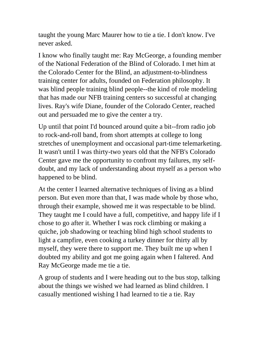taught the young Marc Maurer how to tie a tie. I don't know. I've never asked.

I know who finally taught me: Ray McGeorge, a founding member of the National Federation of the Blind of Colorado. I met him at the Colorado Center for the Blind, an adjustment-to-blindness training center for adults, founded on Federation philosophy. It was blind people training blind people--the kind of role modeling that has made our NFB training centers so successful at changing lives. Ray's wife Diane, founder of the Colorado Center, reached out and persuaded me to give the center a try.

Up until that point I'd bounced around quite a bit--from radio job to rock-and-roll band, from short attempts at college to long stretches of unemployment and occasional part-time telemarketing. It wasn't until I was thirty-two years old that the NFB's Colorado Center gave me the opportunity to confront my failures, my selfdoubt, and my lack of understanding about myself as a person who happened to be blind.

At the center I learned alternative techniques of living as a blind person. But even more than that, I was made whole by those who, through their example, showed me it was respectable to be blind. They taught me I could have a full, competitive, and happy life if I chose to go after it. Whether I was rock climbing or making a quiche, job shadowing or teaching blind high school students to light a campfire, even cooking a turkey dinner for thirty all by myself, they were there to support me. They built me up when I doubted my ability and got me going again when I faltered. And Ray McGeorge made me tie a tie.

A group of students and I were heading out to the bus stop, talking about the things we wished we had learned as blind children. I casually mentioned wishing I had learned to tie a tie. Ray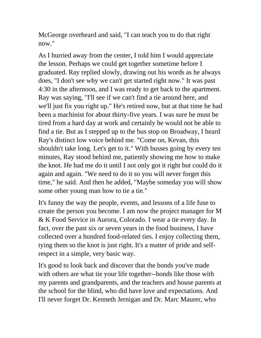McGeorge overheard and said, "I can teach you to do that right now."

As I hurried away from the center, I told him I would appreciate the lesson. Perhaps we could get together sometime before I graduated. Ray replied slowly, drawing out his words as he always does, "I don't see why we can't get started right now." It was past 4:30 in the afternoon, and I was ready to get back to the apartment. Ray was saying, "I'll see if we can't find a tie around here, and we'll just fix you right up." He's retired now, but at that time he had been a machinist for about thirty-five years. I was sure he must be tired from a hard day at work and certainly he would not be able to find a tie. But as I stepped up to the bus stop on Broadway, I heard Ray's distinct low voice behind me. "Come on, Kevan, this shouldn't take long. Let's get to it." With busses going by every ten minutes, Ray stood behind me, patiently showing me how to make the knot. He had me do it until I not only got it right but could do it again and again. "We need to do it so you will never forget this time," he said. And then he added, "Maybe someday you will show some other young man how to tie a tie."

It's funny the way the people, events, and lessons of a life fuse to create the person you become. I am now the project manager for M & K Food Service in Aurora, Colorado. I wear a tie every day. In fact, over the past six or seven years in the food business, I have collected over a hundred food-related ties. I enjoy collecting them, tying them so the knot is just right. It's a matter of pride and selfrespect in a simple, very basic way.

It's good to look back and discover that the bonds you've made with others are what tie your life together--bonds like those with my parents and grandparents, and the teachers and house parents at the school for the blind, who did have love and expectations. And I'll never forget Dr. Kenneth Jernigan and Dr. Marc Maurer, who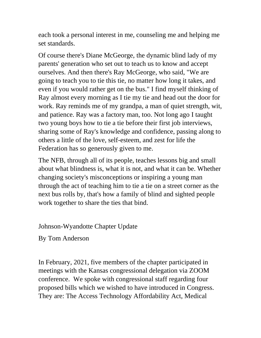each took a personal interest in me, counseling me and helping me set standards.

Of course there's Diane McGeorge, the dynamic blind lady of my parents' generation who set out to teach us to know and accept ourselves. And then there's Ray McGeorge, who said, "We are going to teach you to tie this tie, no matter how long it takes, and even if you would rather get on the bus." I find myself thinking of Ray almost every morning as I tie my tie and head out the door for work. Ray reminds me of my grandpa, a man of quiet strength, wit, and patience. Ray was a factory man, too. Not long ago I taught two young boys how to tie a tie before their first job interviews, sharing some of Ray's knowledge and confidence, passing along to others a little of the love, self-esteem, and zest for life the Federation has so generously given to me.

The NFB, through all of its people, teaches lessons big and small about what blindness is, what it is not, and what it can be. Whether changing society's misconceptions or inspiring a young man through the act of teaching him to tie a tie on a street corner as the next bus rolls by, that's how a family of blind and sighted people work together to share the ties that bind.

Johnson-Wyandotte Chapter Update

By Tom Anderson

In February, 2021, five members of the chapter participated in meetings with the Kansas congressional delegation via ZOOM conference. We spoke with congressional staff regarding four proposed bills which we wished to have introduced in Congress. They are: The Access Technology Affordability Act, Medical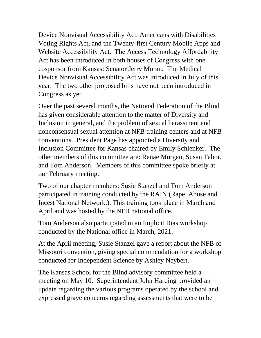Device Nonvisual Accessibility Act, Americans with Disabilities Voting Rights Act, and the Twenty-first Century Mobile Apps and Website Accessibility Act. The Access Technology Affordability Act has been introduced in both houses of Congress with one cosponsor from Kansas: Senator Jerry Moran. The Medical Device Nonvisual Accessibility Act was introduced in July of this year. The two other proposed bills have not been introduced in Congress as yet.

Over the past several months, the National Federation of the Blind has given considerable attention to the matter of Diversity and Inclusion in general, and the problem of sexual harassment and nonconsensual sexual attention at NFB training centers and at NFB conventions. President Page has appointed a Diversity and Inclusion Committee for Kansas chaired by Emily Schlenker. The other members of this committee are: Renae Morgan, Susan Tabor, and Tom Anderson. Members of this committee spoke briefly at our February meeting.

Two of our chapter members: Susie Stanzel and Tom Anderson participated in training conducted by the RAIN (Rape, Abuse and Incest National Network.). This training took place in March and April and was hosted by the NFB national office.

Tom Anderson also participated in an Implicit Bias workshop conducted by the National office in March, 2021.

At the April meeting, Susie Stanzel gave a report about the NFB of Missouri convention, giving special commendation for a workshop conducted for Independent Science by Ashley Neybert.

The Kansas School for the Blind advisory committee held a meeting on May 10. Superintendent John Harding provided an update regarding the various programs operated by the school and expressed grave concerns regarding assessments that were to be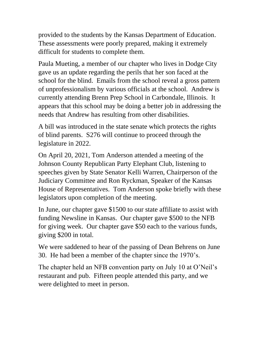provided to the students by the Kansas Department of Education. These assessments were poorly prepared, making it extremely difficult for students to complete them.

Paula Mueting, a member of our chapter who lives in Dodge City gave us an update regarding the perils that her son faced at the school for the blind. Emails from the school reveal a gross pattern of unprofessionalism by various officials at the school. Andrew is currently attending Brenn Prep School in Carbondale, Illinois. It appears that this school may be doing a better job in addressing the needs that Andrew has resulting from other disabilities.

A bill was introduced in the state senate which protects the rights of blind parents. S276 will continue to proceed through the legislature in 2022.

On April 20, 2021, Tom Anderson attended a meeting of the Johnson County Republican Party Elephant Club, listening to speeches given by State Senator Kelli Warren, Chairperson of the Judiciary Committee and Ron Ryckman, Speaker of the Kansas House of Representatives. Tom Anderson spoke briefly with these legislators upon completion of the meeting.

In June, our chapter gave \$1500 to our state affiliate to assist with funding Newsline in Kansas. Our chapter gave \$500 to the NFB for giving week. Our chapter gave \$50 each to the various funds, giving \$200 in total.

We were saddened to hear of the passing of Dean Behrens on June 30. He had been a member of the chapter since the 1970's.

The chapter held an NFB convention party on July 10 at O'Neil's restaurant and pub. Fifteen people attended this party, and we were delighted to meet in person.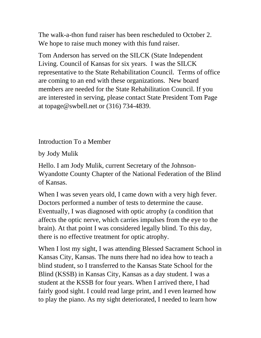The walk-a-thon fund raiser has been rescheduled to October 2. We hope to raise much money with this fund raiser.

Tom Anderson has served on the SILCK (State Independent Living. Council of Kansas for six years. I was the SILCK representative to the State Rehabilitation Council. Terms of office are coming to an end with these organizations. New board members are needed for the State Rehabilitation Council. If you are interested in serving, please contact State President Tom Page at topage@swbell.net or (316) 734-4839.

Introduction To a Member

by Jody Mulik

Hello. I am Jody Mulik, current Secretary of the Johnson-Wyandotte County Chapter of the National Federation of the Blind of Kansas.

When I was seven years old, I came down with a very high fever. Doctors performed a number of tests to determine the cause. Eventually, I was diagnosed with optic atrophy (a condition that affects the optic nerve, which carries impulses from the eye to the brain). At that point I was considered legally blind. To this day, there is no effective treatment for optic atrophy.

When I lost my sight, I was attending Blessed Sacrament School in Kansas City, Kansas. The nuns there had no idea how to teach a blind student, so I transferred to the Kansas State School for the Blind (KSSB) in Kansas City, Kansas as a day student. I was a student at the KSSB for four years. When I arrived there, I had fairly good sight. I could read large print, and I even learned how to play the piano. As my sight deteriorated, I needed to learn how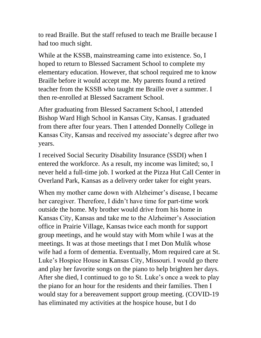to read Braille. But the staff refused to teach me Braille because I had too much sight.

While at the KSSB, mainstreaming came into existence. So, I hoped to return to Blessed Sacrament School to complete my elementary education. However, that school required me to know Braille before it would accept me. My parents found a retired teacher from the KSSB who taught me Braille over a summer. I then re-enrolled at Blessed Sacrament School.

After graduating from Blessed Sacrament School, I attended Bishop Ward High School in Kansas City, Kansas. I graduated from there after four years. Then I attended Donnelly College in Kansas City, Kansas and received my associate's degree after two years.

I received Social Security Disability Insurance (SSDI) when I entered the workforce. As a result, my income was limited; so, I never held a full-time job. I worked at the Pizza Hut Call Center in Overland Park, Kansas as a delivery order taker for eight years.

When my mother came down with Alzheimer's disease, I became her caregiver. Therefore, I didn't have time for part-time work outside the home. My brother would drive from his home in Kansas City, Kansas and take me to the Alzheimer's Association office in Prairie Village, Kansas twice each month for support group meetings, and he would stay with Mom while I was at the meetings. It was at those meetings that I met Don Mulik whose wife had a form of dementia. Eventually, Mom required care at St. Luke's Hospice House in Kansas City, Missouri. I would go there and play her favorite songs on the piano to help brighten her days. After she died, I continued to go to St. Luke's once a week to play the piano for an hour for the residents and their families. Then I would stay for a bereavement support group meeting. (COVID-19 has eliminated my activities at the hospice house, but I do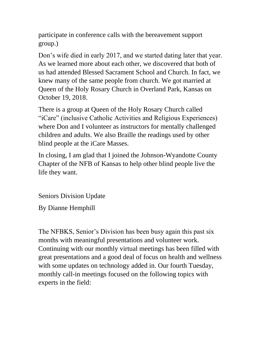participate in conference calls with the bereavement support group.)

Don's wife died in early 2017, and we started dating later that year. As we learned more about each other, we discovered that both of us had attended Blessed Sacrament School and Church. In fact, we knew many of the same people from church. We got married at Queen of the Holy Rosary Church in Overland Park, Kansas on October 19, 2018.

There is a group at Queen of the Holy Rosary Church called "iCare" (inclusive Catholic Activities and Religious Experiences) where Don and I volunteer as instructors for mentally challenged children and adults. We also Braille the readings used by other blind people at the iCare Masses.

In closing, I am glad that I joined the Johnson-Wyandotte County Chapter of the NFB of Kansas to help other blind people live the life they want.

Seniors Division Update

By Dianne Hemphill

The NFBKS, Senior's Division has been busy again this past six months with meaningful presentations and volunteer work. Continuing with our monthly virtual meetings has been filled with great presentations and a good deal of focus on health and wellness with some updates on technology added in. Our fourth Tuesday, monthly call-in meetings focused on the following topics with experts in the field: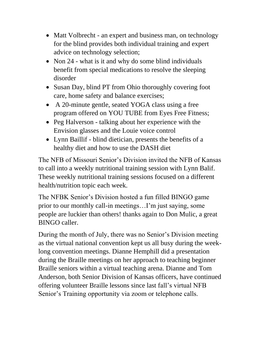- Matt Volbrecht an expert and business man, on technology for the blind provides both individual training and expert advice on technology selection;
- Non 24 what is it and why do some blind individuals benefit from special medications to resolve the sleeping disorder
- Susan Day, blind PT from Ohio thoroughly covering foot care, home safety and balance exercises;
- A 20-minute gentle, seated YOGA class using a free program offered on YOU TUBE from Eyes Free Fitness;
- Peg Halverson talking about her experience with the Envision glasses and the Louie voice control
- Lynn Baillif blind dietician, presents the benefits of a healthy diet and how to use the DASH diet

The NFB of Missouri Senior's Division invited the NFB of Kansas to call into a weekly nutritional training session with Lynn Balif. These weekly nutritional training sessions focused on a different health/nutrition topic each week.

The NFBK Senior's Division hosted a fun filled BINGO game prior to our monthly call-in meetings…I'm just saying, some people are luckier than others! thanks again to Don Mulic, a great BINGO caller.

During the month of July, there was no Senior's Division meeting as the virtual national convention kept us all busy during the weeklong convention meetings. Dianne Hemphill did a presentation during the Braille meetings on her approach to teaching beginner Braille seniors within a virtual teaching arena. Dianne and Tom Anderson, both Senior Division of Kansas officers, have continued offering volunteer Braille lessons since last fall's virtual NFB Senior's Training opportunity via zoom or telephone calls.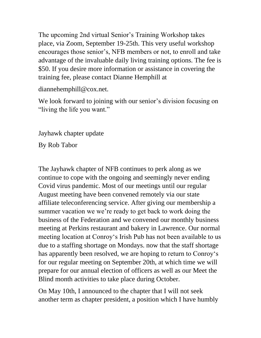The upcoming 2nd virtual Senior's Training Workshop takes place, via Zoom, September 19-25th. This very useful workshop encourages those senior's, NFB members or not, to enroll and take advantage of the invaluable daily living training options. The fee is \$50. If you desire more information or assistance in covering the training fee, please contact Dianne Hemphill at

diannehemphill@cox.net.

We look forward to joining with our senior's division focusing on "living the life you want."

Jayhawk chapter update

By Rob Tabor

The Jayhawk chapter of NFB continues to perk along as we continue to cope with the ongoing and seemingly never ending Covid virus pandemic. Most of our meetings until our regular August meeting have been convened remotely via our state affiliate teleconferencing service. After giving our membership a summer vacation we we're ready to get back to work doing the business of the Federation and we convened our monthly business meeting at Perkins restaurant and bakery in Lawrence. Our normal meeting location at Conroy's Irish Pub has not been available to us due to a staffing shortage on Mondays. now that the staff shortage has apparently been resolved, we are hoping to return to Conroy's for our regular meeting on September 20th, at which time we will prepare for our annual election of officers as well as our Meet the Blind month activities to take place during October.

On May 10th, I announced to the chapter that I will not seek another term as chapter president, a position which I have humbly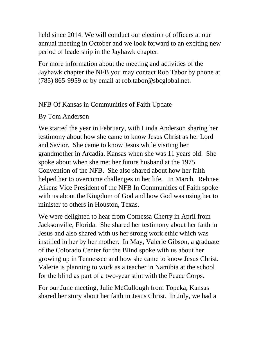held since 2014. We will conduct our election of officers at our annual meeting in October and we look forward to an exciting new period of leadership in the Jayhawk chapter.

For more information about the meeting and activities of the Jayhawk chapter the NFB you may contact Rob Tabor by phone at (785) 865-9959 or by email at rob.tabor@sbcglobal.net.

### NFB Of Kansas in Communities of Faith Update

### By Tom Anderson

We started the year in February, with Linda Anderson sharing her testimony about how she came to know Jesus Christ as her Lord and Savior. She came to know Jesus while visiting her grandmother in Arcadia. Kansas when she was 11 years old. She spoke about when she met her future husband at the 1975 Convention of the NFB. She also shared about how her faith helped her to overcome challenges in her life. In March, Rehnee Aikens Vice President of the NFB In Communities of Faith spoke with us about the Kingdom of God and how God was using her to minister to others in Houston, Texas.

We were delighted to hear from Cornessa Cherry in April from Jacksonville, Florida. She shared her testimony about her faith in Jesus and also shared with us her strong work ethic which was instilled in her by her mother. In May, Valerie Gibson, a graduate of the Colorado Center for the Blind spoke with us about her growing up in Tennessee and how she came to know Jesus Christ. Valerie is planning to work as a teacher in Namibia at the school for the blind as part of a two-year stint with the Peace Corps.

For our June meeting, Julie McCullough from Topeka, Kansas shared her story about her faith in Jesus Christ. In July, we had a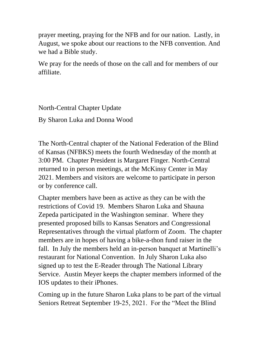prayer meeting, praying for the NFB and for our nation. Lastly, in August, we spoke about our reactions to the NFB convention. And we had a Bible study.

We pray for the needs of those on the call and for members of our affiliate.

North-Central Chapter Update

By Sharon Luka and Donna Wood

The North-Central chapter of the National Federation of the Blind of Kansas (NFBKS) meets the fourth Wednesday of the month at 3:00 PM. Chapter President is Margaret Finger. North-Central returned to in person meetings, at the McKinsy Center in May 2021. Members and visitors are welcome to participate in person or by conference call.

Chapter members have been as active as they can be with the restrictions of Covid 19. Members Sharon Luka and Shauna Zepeda participated in the Washington seminar. Where they presented proposed bills to Kansas Senators and Congressional Representatives through the virtual platform of Zoom. The chapter members are in hopes of having a bike-a-thon fund raiser in the fall. In July the members held an in-person banquet at Martinelli's restaurant for National Convention. In July Sharon Luka also signed up to test the E-Reader through The National Library Service. Austin Meyer keeps the chapter members informed of the IOS updates to their iPhones.

Coming up in the future Sharon Luka plans to be part of the virtual Seniors Retreat September 19-25, 2021. For the "Meet the Blind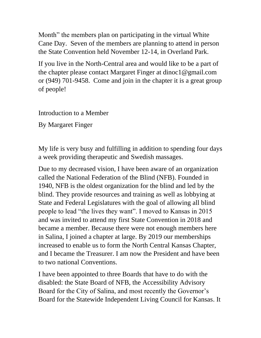Month" the members plan on participating in the virtual White Cane Day. Seven of the members are planning to attend in person the State Convention held November 12-14, in Overland Park.

If you live in the North-Central area and would like to be a part of the chapter please contact Margaret Finger at dinoc1@gmail.com or (949) 701-9458. Come and join in the chapter it is a great group of people!

Introduction to a Member

By Margaret Finger

My life is very busy and fulfilling in addition to spending four days a week providing therapeutic and Swedish massages.

Due to my decreased vision, I have been aware of an organization called the National Federation of the Blind (NFB). Founded in 1940, NFB is the oldest organization for the blind and led by the blind. They provide resources and training as well as lobbying at State and Federal Legislatures with the goal of allowing all blind people to lead "the lives they want". I moved to Kansas in 2015 and was invited to attend my first State Convention in 2018 and became a member. Because there were not enough members here in Salina, I joined a chapter at large. By 2019 our memberships increased to enable us to form the North Central Kansas Chapter, and I became the Treasurer. I am now the President and have been to two national Conventions.

I have been appointed to three Boards that have to do with the disabled: the State Board of NFB, the Accessibility Advisory Board for the City of Salina, and most recently the Governor's Board for the Statewide Independent Living Council for Kansas. It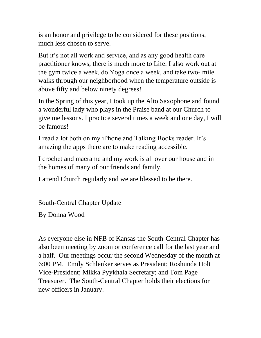is an honor and privilege to be considered for these positions, much less chosen to serve.

But it's not all work and service, and as any good health care practitioner knows, there is much more to Life. I also work out at the gym twice a week, do Yoga once a week, and take two- mile walks through our neighborhood when the temperature outside is above fifty and below ninety degrees!

In the Spring of this year, I took up the Alto Saxophone and found a wonderful lady who plays in the Praise band at our Church to give me lessons. I practice several times a week and one day, I will be famous!

I read a lot both on my iPhone and Talking Books reader. It's amazing the apps there are to make reading accessible.

I crochet and macrame and my work is all over our house and in the homes of many of our friends and family.

I attend Church regularly and we are blessed to be there.

South-Central Chapter Update

By Donna Wood

As everyone else in NFB of Kansas the South-Central Chapter has also been meeting by zoom or conference call for the last year and a half. Our meetings occur the second Wednesday of the month at 6:00 PM. Emily Schlenker serves as President; Roshunda Holt Vice-President; Mikka Pyykhala Secretary; and Tom Page Treasurer. The South-Central Chapter holds their elections for new officers in January.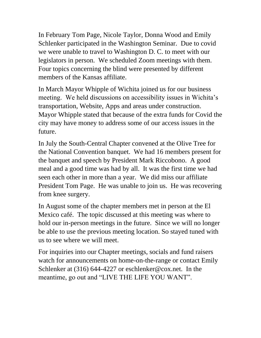In February Tom Page, Nicole Taylor, Donna Wood and Emily Schlenker participated in the Washington Seminar. Due to covid we were unable to travel to Washington D. C. to meet with our legislators in person. We scheduled Zoom meetings with them. Four topics concerning the blind were presented by different members of the Kansas affiliate.

In March Mayor Whipple of Wichita joined us for our business meeting. We held discussions on accessibility issues in Wichita's transportation, Website, Apps and areas under construction. Mayor Whipple stated that because of the extra funds for Covid the city may have money to address some of our access issues in the future.

In July the South-Central Chapter convened at the Olive Tree for the National Convention banquet. We had 16 members present for the banquet and speech by President Mark Riccobono. A good meal and a good time was had by all. It was the first time we had seen each other in more than a year. We did miss our affiliate President Tom Page. He was unable to join us. He was recovering from knee surgery.

In August some of the chapter members met in person at the El Mexico café. The topic discussed at this meeting was where to hold our in-person meetings in the future. Since we will no longer be able to use the previous meeting location. So stayed tuned with us to see where we will meet.

For inquiries into our Chapter meetings, socials and fund raisers watch for announcements on home-on-the-range or contact Emily Schlenker at (316) 644-4227 or eschlenker@cox.net. In the meantime, go out and "LIVE THE LIFE YOU WANT".